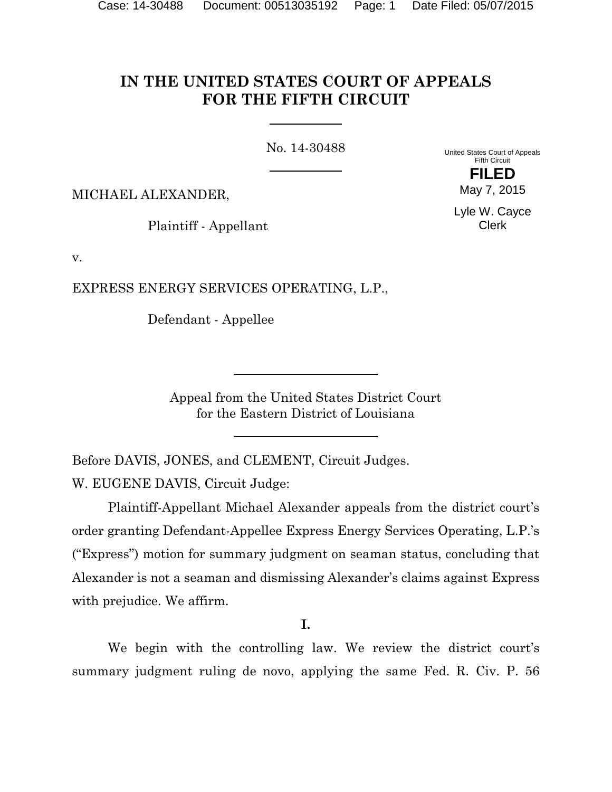# **IN THE UNITED STATES COURT OF APPEALS FOR THE FIFTH CIRCUIT**

No. 14-30488

United States Court of Appeals Fifth Circuit **FILED**

MICHAEL ALEXANDER,

Plaintiff - Appellant

Lyle W. Cayce Clerk

May 7, 2015

v.

EXPRESS ENERGY SERVICES OPERATING, L.P.,

Defendant - Appellee

Appeal from the United States District Court for the Eastern District of Louisiana

Before DAVIS, JONES, and CLEMENT, Circuit Judges.

W. EUGENE DAVIS, Circuit Judge:

Plaintiff-Appellant Michael Alexander appeals from the district court's order granting Defendant-Appellee Express Energy Services Operating, L.P.'s ("Express") motion for summary judgment on seaman status, concluding that Alexander is not a seaman and dismissing Alexander's claims against Express with prejudice. We affirm.

**I.**

We begin with the controlling law. We review the district court's summary judgment ruling de novo, applying the same Fed. R. Civ. P. 56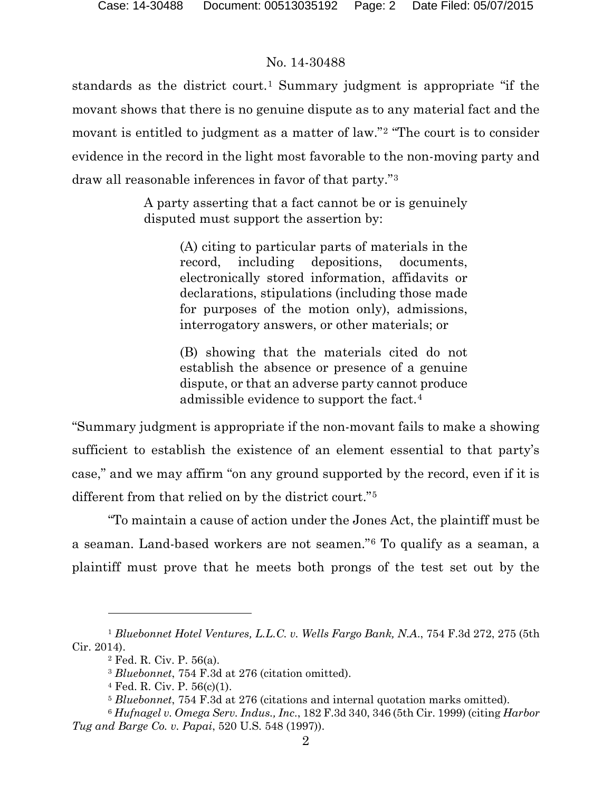standards as the district court.<sup>[1](#page-1-0)</sup> Summary judgment is appropriate "if the movant shows that there is no genuine dispute as to any material fact and the movant is entitled to judgment as a matter of law."[2](#page-1-1) "The court is to consider evidence in the record in the light most favorable to the non-moving party and draw all reasonable inferences in favor of that party."[3](#page-1-2)

> A party asserting that a fact cannot be or is genuinely disputed must support the assertion by:

> > (A) citing to particular parts of materials in the record, including depositions, documents, electronically stored information, affidavits or declarations, stipulations (including those made for purposes of the motion only), admissions, interrogatory answers, or other materials; or

> > (B) showing that the materials cited do not establish the absence or presence of a genuine dispute, or that an adverse party cannot produce admissible evidence to support the fact.[4](#page-1-3)

"Summary judgment is appropriate if the non-movant fails to make a showing sufficient to establish the existence of an element essential to that party's case," and we may affirm "on any ground supported by the record, even if it is different from that relied on by the district court."[5](#page-1-4)

"To maintain a cause of action under the Jones Act, the plaintiff must be a seaman. Land-based workers are not seamen."[6](#page-1-5) To qualify as a seaman, a plaintiff must prove that he meets both prongs of the test set out by the

 $\overline{a}$ 

<span id="page-1-2"></span><span id="page-1-1"></span><span id="page-1-0"></span><sup>1</sup> *Bluebonnet Hotel Ventures, L.L.C. v. Wells Fargo Bank, N.A*., 754 F.3d 272, 275 (5th Cir. 2014).

<sup>2</sup> Fed. R. Civ. P. 56(a).

<sup>3</sup> *Bluebonnet*, 754 F.3d at 276 (citation omitted).

 $4$  Fed. R. Civ. P.  $56(c)(1)$ .

<sup>5</sup> *Bluebonnet*, 754 F.3d at 276 (citations and internal quotation marks omitted).

<span id="page-1-5"></span><span id="page-1-4"></span><span id="page-1-3"></span><sup>6</sup> *Hufnagel v. Omega Serv. Indus., Inc*., 182 F.3d 340, 346 (5th Cir. 1999) (citing *Harbor Tug and Barge Co. v. Papai*, 520 U.S. 548 (1997)).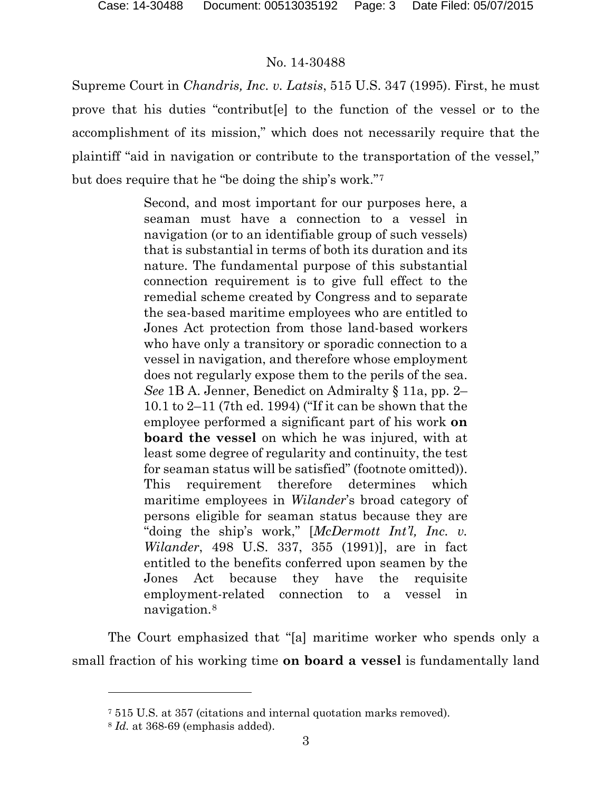Supreme Court in *Chandris, Inc. v. Latsis*, 515 U.S. 347 (1995). First, he must prove that his duties "contribut[e] to the function of the vessel or to the accomplishment of its mission," which does not necessarily require that the plaintiff "aid in navigation or contribute to the transportation of the vessel," but does require that he "be doing the ship's work."[7](#page-2-0)

> Second, and most important for our purposes here, a seaman must have a connection to a vessel in navigation (or to an identifiable group of such vessels) that is substantial in terms of both its duration and its nature. The fundamental purpose of this substantial connection requirement is to give full effect to the remedial scheme created by Congress and to separate the sea-based maritime employees who are entitled to Jones Act protection from those land-based workers who have only a transitory or sporadic connection to a vessel in navigation, and therefore whose employment does not regularly expose them to the perils of the sea. *See* 1B A. Jenner, Benedict on Admiralty § 11a, pp. 2– 10.1 to 2–11 (7th ed. 1994) ("If it can be shown that the employee performed a significant part of his work **on board the vessel** on which he was injured, with at least some degree of regularity and continuity, the test for seaman status will be satisfied" (footnote omitted)). This requirement therefore determines which maritime employees in *Wilander*'s broad category of persons eligible for seaman status because they are "doing the ship's work," [*McDermott Int'l, Inc. v. Wilander*, 498 U.S. 337, 355 (1991)], are in fact entitled to the benefits conferred upon seamen by the Jones Act because they have the requisite employment-related connection to a vessel in navigation.[8](#page-2-1)

<span id="page-2-0"></span>The Court emphasized that "[a] maritime worker who spends only a small fraction of his working time **on board a vessel** is fundamentally land

l

<sup>7</sup> 515 U.S. at 357 (citations and internal quotation marks removed).

<span id="page-2-1"></span><sup>8</sup> *Id.* at 368-69 (emphasis added).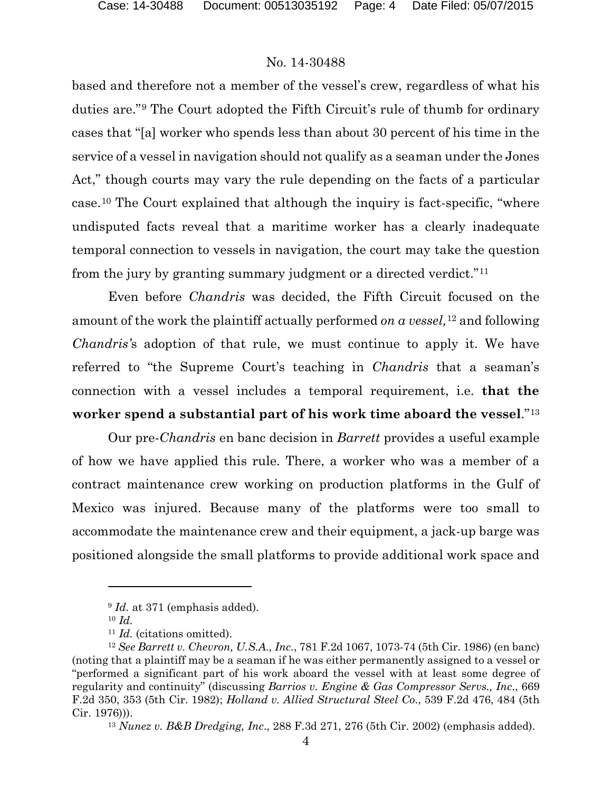based and therefore not a member of the vessel's crew, regardless of what his duties are."[9](#page-3-0) The Court adopted the Fifth Circuit's rule of thumb for ordinary cases that "[a] worker who spends less than about 30 percent of his time in the service of a vessel in navigation should not qualify as a seaman under the Jones Act," though courts may vary the rule depending on the facts of a particular case.[10](#page-3-1) The Court explained that although the inquiry is fact-specific, "where undisputed facts reveal that a maritime worker has a clearly inadequate temporal connection to vessels in navigation, the court may take the question from the jury by granting summary judgment or a directed verdict."[11](#page-3-2)

Even before *Chandris* was decided, the Fifth Circuit focused on the amount of the work the plaintiff actually performed *on a vessel,*[12](#page-3-3) and following *Chandris'*s adoption of that rule, we must continue to apply it. We have referred to "the Supreme Court's teaching in *Chandris* that a seaman's connection with a vessel includes a temporal requirement, i.e. **that the worker spend a substantial part of his work time aboard the vessel**."[13](#page-3-4)

Our pre-*Chandris* en banc decision in *Barrett* provides a useful example of how we have applied this rule. There, a worker who was a member of a contract maintenance crew working on production platforms in the Gulf of Mexico was injured. Because many of the platforms were too small to accommodate the maintenance crew and their equipment, a jack-up barge was positioned alongside the small platforms to provide additional work space and

 $\overline{a}$ 

<sup>13</sup> *Nunez v. B&B Dredging, Inc*., 288 F.3d 271, 276 (5th Cir. 2002) (emphasis added).

<sup>&</sup>lt;sup>9</sup> *Id.* at 371 (emphasis added).

<sup>10</sup> *Id.*

<sup>11</sup> *Id.* (citations omitted).

<span id="page-3-4"></span><span id="page-3-3"></span><span id="page-3-2"></span><span id="page-3-1"></span><span id="page-3-0"></span><sup>12</sup> *See Barrett v. Chevron, U.S.A., Inc*., 781 F.2d 1067, 1073-74 (5th Cir. 1986) (en banc) (noting that a plaintiff may be a seaman if he was either permanently assigned to a vessel or "performed a significant part of his work aboard the vessel with at least some degree of regularity and continuity" (discussing *Barrios v. Engine & Gas Compressor Servs., Inc*., 669 F.2d 350, 353 (5th Cir. 1982); *Holland v. Allied Structural Steel Co*., 539 F.2d 476, 484 (5th Cir. 1976))).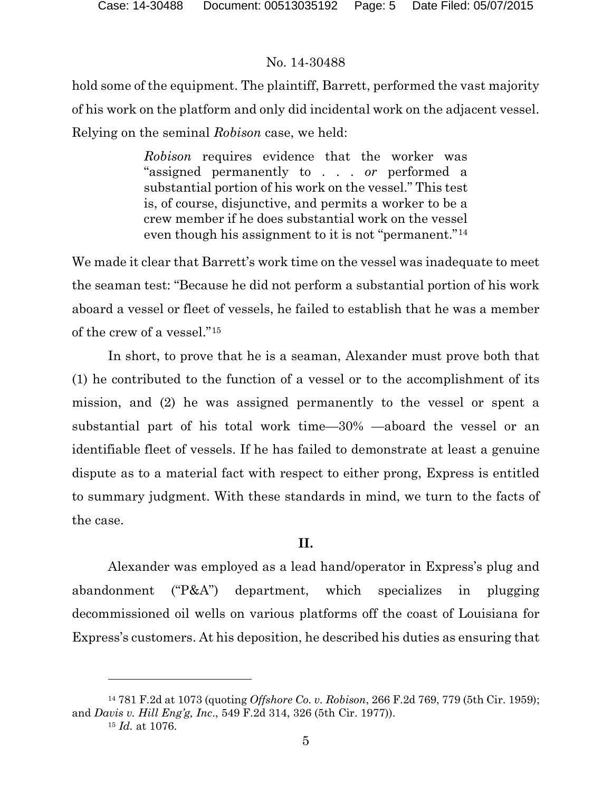hold some of the equipment. The plaintiff, Barrett, performed the vast majority of his work on the platform and only did incidental work on the adjacent vessel. Relying on the seminal *Robison* case, we held:

> *Robison* requires evidence that the worker was "assigned permanently to . . . *or* performed a substantial portion of his work on the vessel." This test is, of course, disjunctive, and permits a worker to be a crew member if he does substantial work on the vessel even though his assignment to it is not "permanent."[14](#page-4-0)

We made it clear that Barrett's work time on the vessel was inadequate to meet the seaman test: "Because he did not perform a substantial portion of his work aboard a vessel or fleet of vessels, he failed to establish that he was a member of the crew of a vessel."[15](#page-4-1)

In short, to prove that he is a seaman, Alexander must prove both that (1) he contributed to the function of a vessel or to the accomplishment of its mission, and (2) he was assigned permanently to the vessel or spent a substantial part of his total work time—30% —aboard the vessel or an identifiable fleet of vessels. If he has failed to demonstrate at least a genuine dispute as to a material fact with respect to either prong, Express is entitled to summary judgment. With these standards in mind, we turn to the facts of the case.

#### **II.**

Alexander was employed as a lead hand/operator in Express's plug and abandonment ("P&A") department, which specializes in plugging decommissioned oil wells on various platforms off the coast of Louisiana for Express's customers. At his deposition, he described his duties as ensuring that

 $\overline{a}$ 

<span id="page-4-1"></span><span id="page-4-0"></span><sup>14</sup> 781 F.2d at 1073 (quoting *Offshore Co. v. Robison*, 266 F.2d 769, 779 (5th Cir. 1959); and *Davis v. Hill Eng'g, Inc*., 549 F.2d 314, 326 (5th Cir. 1977)).

<sup>15</sup> *Id.* at 1076.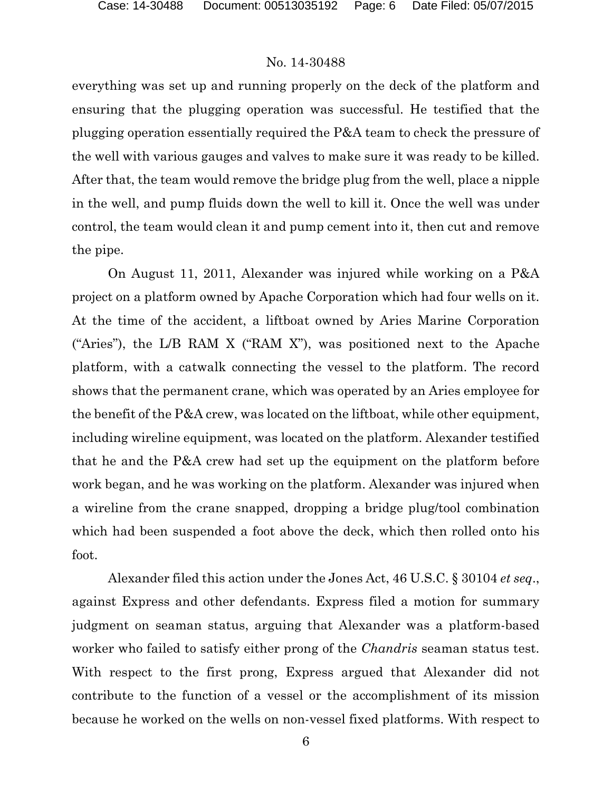everything was set up and running properly on the deck of the platform and ensuring that the plugging operation was successful. He testified that the plugging operation essentially required the P&A team to check the pressure of the well with various gauges and valves to make sure it was ready to be killed. After that, the team would remove the bridge plug from the well, place a nipple in the well, and pump fluids down the well to kill it. Once the well was under control, the team would clean it and pump cement into it, then cut and remove the pipe.

On August 11, 2011, Alexander was injured while working on a P&A project on a platform owned by Apache Corporation which had four wells on it. At the time of the accident, a liftboat owned by Aries Marine Corporation ("Aries"), the L/B RAM X ("RAM X"), was positioned next to the Apache platform, with a catwalk connecting the vessel to the platform. The record shows that the permanent crane, which was operated by an Aries employee for the benefit of the P&A crew, was located on the liftboat, while other equipment, including wireline equipment, was located on the platform. Alexander testified that he and the P&A crew had set up the equipment on the platform before work began, and he was working on the platform. Alexander was injured when a wireline from the crane snapped, dropping a bridge plug/tool combination which had been suspended a foot above the deck, which then rolled onto his foot.

Alexander filed this action under the Jones Act, 46 U.S.C. § 30104 *et seq*., against Express and other defendants. Express filed a motion for summary judgment on seaman status, arguing that Alexander was a platform-based worker who failed to satisfy either prong of the *Chandris* seaman status test. With respect to the first prong, Express argued that Alexander did not contribute to the function of a vessel or the accomplishment of its mission because he worked on the wells on non-vessel fixed platforms. With respect to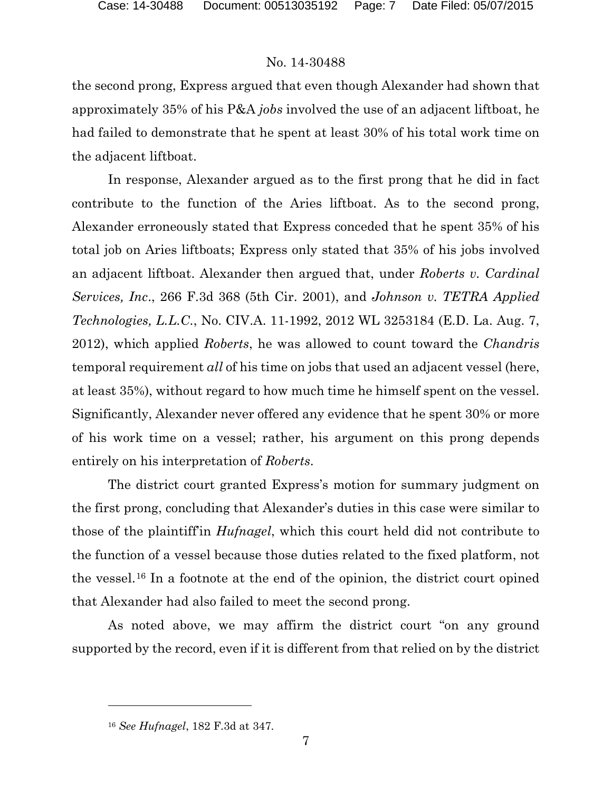the second prong, Express argued that even though Alexander had shown that approximately 35% of his P&A *jobs* involved the use of an adjacent liftboat, he had failed to demonstrate that he spent at least 30% of his total work time on the adjacent liftboat.

In response, Alexander argued as to the first prong that he did in fact contribute to the function of the Aries liftboat. As to the second prong, Alexander erroneously stated that Express conceded that he spent 35% of his total job on Aries liftboats; Express only stated that 35% of his jobs involved an adjacent liftboat. Alexander then argued that, under *Roberts v. Cardinal Services, Inc*., 266 F.3d 368 (5th Cir. 2001), and *Johnson v. TETRA Applied Technologies, L.L.C*., No. CIV.A. 11-1992, 2012 WL 3253184 (E.D. La. Aug. 7, 2012), which applied *Roberts*, he was allowed to count toward the *Chandris* temporal requirement *all* of his time on jobs that used an adjacent vessel (here, at least 35%), without regard to how much time he himself spent on the vessel. Significantly, Alexander never offered any evidence that he spent 30% or more of his work time on a vessel; rather, his argument on this prong depends entirely on his interpretation of *Roberts*.

The district court granted Express's motion for summary judgment on the first prong, concluding that Alexander's duties in this case were similar to those of the plaintiff'in *Hufnagel*, which this court held did not contribute to the function of a vessel because those duties related to the fixed platform, not the vessel.[16](#page-6-0) In a footnote at the end of the opinion, the district court opined that Alexander had also failed to meet the second prong.

As noted above, we may affirm the district court "on any ground supported by the record, even if it is different from that relied on by the district

l

<span id="page-6-0"></span><sup>16</sup> *See Hufnagel*, 182 F.3d at 347.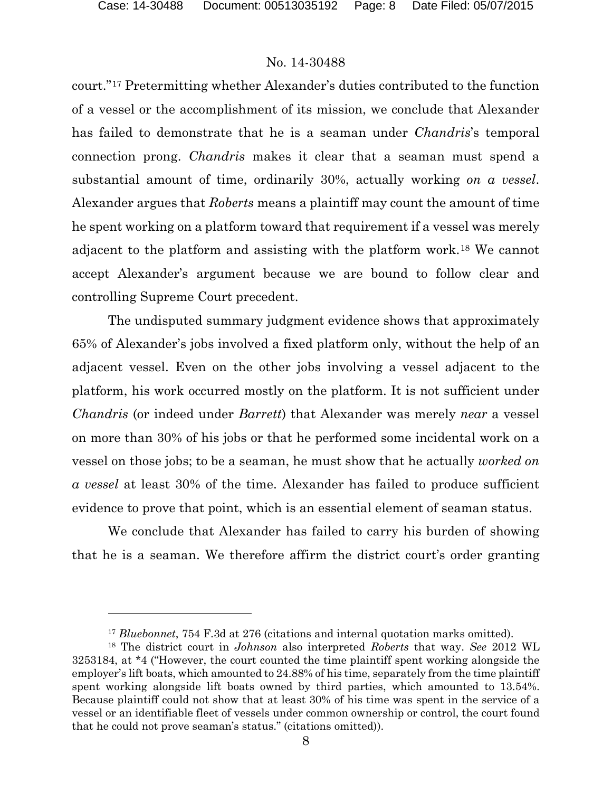$\overline{a}$ 

### No. 14-30488

court."[17](#page-7-0) Pretermitting whether Alexander's duties contributed to the function of a vessel or the accomplishment of its mission, we conclude that Alexander has failed to demonstrate that he is a seaman under *Chandris*'s temporal connection prong. *Chandris* makes it clear that a seaman must spend a substantial amount of time, ordinarily 30%, actually working *on a vessel*. Alexander argues that *Roberts* means a plaintiff may count the amount of time he spent working on a platform toward that requirement if a vessel was merely adjacent to the platform and assisting with the platform work.[18](#page-7-1) We cannot accept Alexander's argument because we are bound to follow clear and controlling Supreme Court precedent.

The undisputed summary judgment evidence shows that approximately 65% of Alexander's jobs involved a fixed platform only, without the help of an adjacent vessel. Even on the other jobs involving a vessel adjacent to the platform, his work occurred mostly on the platform. It is not sufficient under *Chandris* (or indeed under *Barrett*) that Alexander was merely *near* a vessel on more than 30% of his jobs or that he performed some incidental work on a vessel on those jobs; to be a seaman, he must show that he actually *worked on a vessel* at least 30% of the time. Alexander has failed to produce sufficient evidence to prove that point, which is an essential element of seaman status.

We conclude that Alexander has failed to carry his burden of showing that he is a seaman. We therefore affirm the district court's order granting

<sup>17</sup> *Bluebonnet*, 754 F.3d at 276 (citations and internal quotation marks omitted).

<span id="page-7-1"></span><span id="page-7-0"></span><sup>18</sup> The district court in *Johnson* also interpreted *Roberts* that way. *See* 2012 WL 3253184, at \*4 ("However, the court counted the time plaintiff spent working alongside the employer's lift boats, which amounted to 24.88% of his time, separately from the time plaintiff spent working alongside lift boats owned by third parties, which amounted to 13.54%. Because plaintiff could not show that at least 30% of his time was spent in the service of a vessel or an identifiable fleet of vessels under common ownership or control, the court found that he could not prove seaman's status." (citations omitted)).